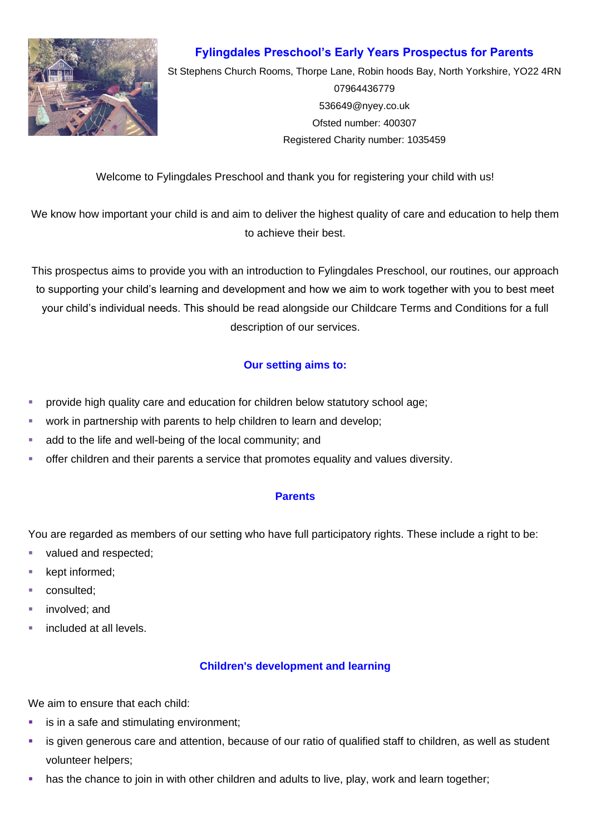

# **Fylingdales Preschool's Early Years Prospectus for Parents**

St Stephens Church Rooms, Thorpe Lane, Robin hoods Bay, North Yorkshire, YO22 4RN 07964436779 [536649@nyey.co.uk](mailto:536649@nyey.co.uk) Ofsted number: 400307 Registered Charity number: 1035459

Welcome to Fylingdales Preschool and thank you for registering your child with us!

We know how important your child is and aim to deliver the highest quality of care and education to help them to achieve their best.

This prospectus aims to provide you with an introduction to Fylingdales Preschool, our routines, our approach to supporting your child's learning and development and how we aim to work together with you to best meet your child's individual needs. This should be read alongside our Childcare Terms and Conditions for a full description of our services.

# **Our setting aims to:**

- **•** provide high quality care and education for children below statutory school age;
- work in partnership with parents to help children to learn and develop;
- add to the life and well-being of the local community; and
- **•** offer children and their parents a service that promotes equality and values diversity.

## **Parents**

You are regarded as members of our setting who have full participatory rights. These include a right to be:

- valued and respected;
- kept informed;
- consulted;
- involved; and
- included at all levels.

## **Children's development and learning**

We aim to ensure that each child:

- is in a safe and stimulating environment;
- **EXT** is given generous care and attention, because of our ratio of qualified staff to children, as well as student volunteer helpers;
- has the chance to join in with other children and adults to live, play, work and learn together;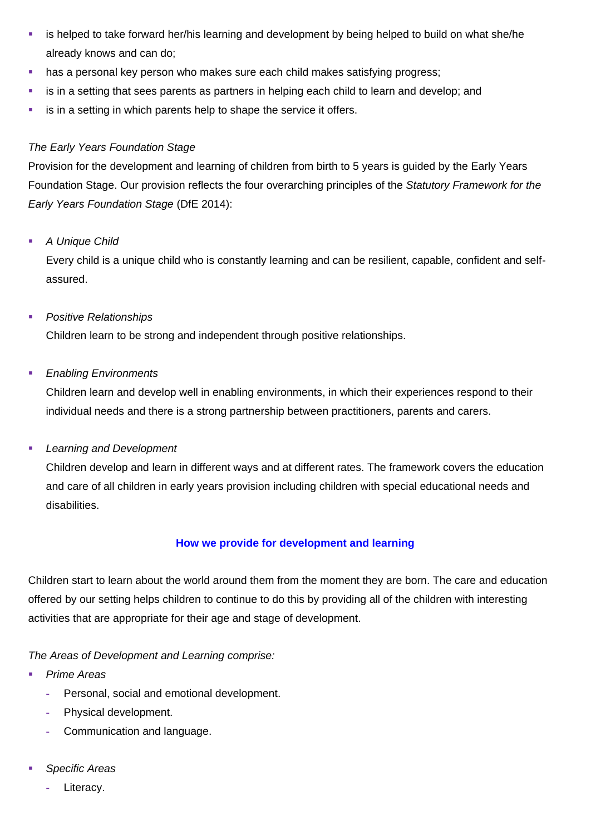- **EXT** is helped to take forward her/his learning and development by being helped to build on what she/he already knows and can do;
- **•** has a personal key person who makes sure each child makes satisfying progress;
- **EXTER is in a setting that sees parents as partners in helping each child to learn and develop; and**
- **EXEDER** is in a setting in which parents help to shape the service it offers.

# *The Early Years Foundation Stage*

Provision for the development and learning of children from birth to 5 years is guided by the Early Years Foundation Stage. Our provision reflects the four overarching principles of the *Statutory Framework for the Early Years Foundation Stage* (DfE 2014):

# ▪ *A Unique Child*

Every child is a unique child who is constantly learning and can be resilient, capable, confident and selfassured.

# ▪ *Positive Relationships*

Children learn to be strong and independent through positive relationships.

# ▪ *Enabling Environments*

Children learn and develop well in enabling environments, in which their experiences respond to their individual needs and there is a strong partnership between practitioners, parents and carers.

# ▪ *Learning and Development*

Children develop and learn in different ways and at different rates. The framework covers the education and care of all children in early years provision including children with special educational needs and disabilities.

# **How we provide for development and learning**

Children start to learn about the world around them from the moment they are born. The care and education offered by our setting helps children to continue to do this by providing all of the children with interesting activities that are appropriate for their age and stage of development.

*The Areas of Development and Learning comprise:*

- **Prime Areas** 
	- **-** Personal, social and emotional development.
	- **-** Physical development.
	- **-** Communication and language.
- Specific Areas
	- **-** Literacy.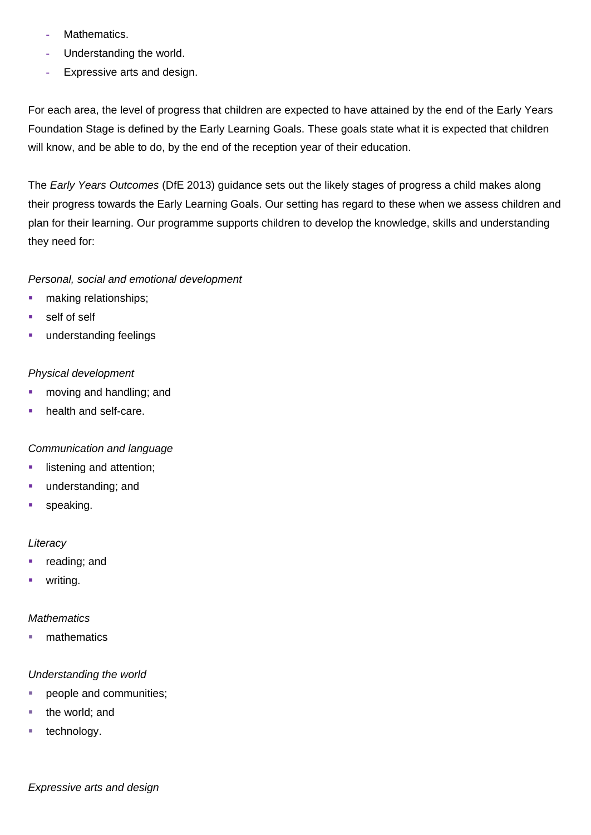- **-** Mathematics.
- **-** Understanding the world.
- **-** Expressive arts and design.

For each area, the level of progress that children are expected to have attained by the end of the Early Years Foundation Stage is defined by the Early Learning Goals. These goals state what it is expected that children will know, and be able to do, by the end of the reception year of their education.

The *Early Years Outcomes* (DfE 2013) guidance sets out the likely stages of progress a child makes along their progress towards the Early Learning Goals. Our setting has regard to these when we assess children and plan for their learning. Our programme supports children to develop the knowledge, skills and understanding they need for:

## *Personal, social and emotional development*

- making relationships;
- self of self
- **•** understanding feelings

## *Physical development*

- moving and handling; and
- health and self-care.

## *Communication and language*

- listening and attention;
- **■** understanding; and
- **■** speaking.

## *Literacy*

- reading; and
- writing.

## *Mathematics*

■ mathematics

## *Understanding the world*

- people and communities;
- the world: and
- technology.

*Expressive arts and design*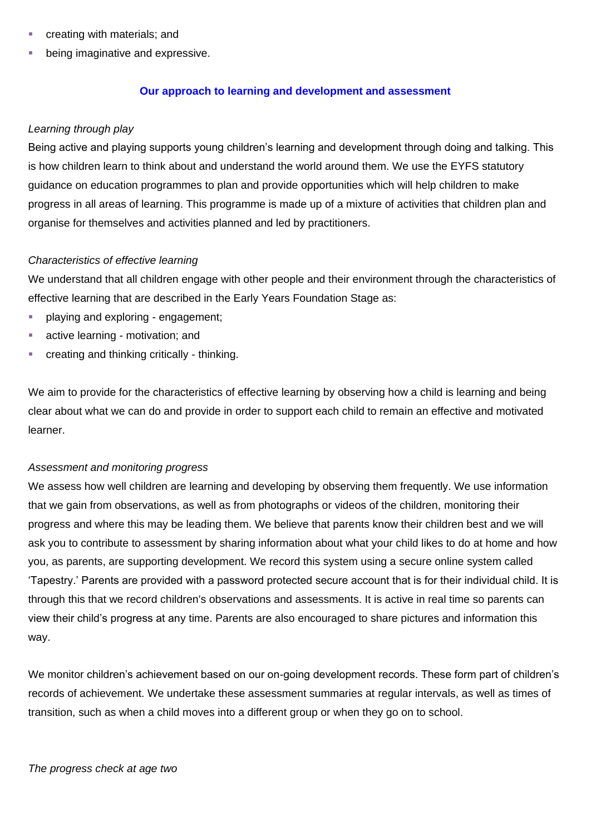- creating with materials; and
- being imaginative and expressive.

#### **Our approach to learning and development and assessment**

#### *Learning through play*

Being active and playing supports young children's learning and development through doing and talking. This is how children learn to think about and understand the world around them. We use the EYFS statutory guidance on education programmes to plan and provide opportunities which will help children to make progress in all areas of learning. This programme is made up of a mixture of activities that children plan and organise for themselves and activities planned and led by practitioners.

#### *Characteristics of effective learning*

We understand that all children engage with other people and their environment through the characteristics of effective learning that are described in the Early Years Foundation Stage as:

- **•** playing and exploring engagement;
- active learning motivation; and
- creating and thinking critically thinking.

We aim to provide for the characteristics of effective learning by observing how a child is learning and being clear about what we can do and provide in order to support each child to remain an effective and motivated learner.

#### *Assessment and monitoring progress*

We assess how well children are learning and developing by observing them frequently. We use information that we gain from observations, as well as from photographs or videos of the children, monitoring their progress and where this may be leading them. We believe that parents know their children best and we will ask you to contribute to assessment by sharing information about what your child likes to do at home and how you, as parents, are supporting development. We record this system using a secure online system called 'Tapestry.' Parents are provided with a password protected secure account that is for their individual child. It is through this that we record children's observations and assessments. It is active in real time so parents can view their child's progress at any time. Parents are also encouraged to share pictures and information this way.

We monitor children's achievement based on our on-going development records. These form part of children's records of achievement. We undertake these assessment summaries at regular intervals, as well as times of transition, such as when a child moves into a different group or when they go on to school.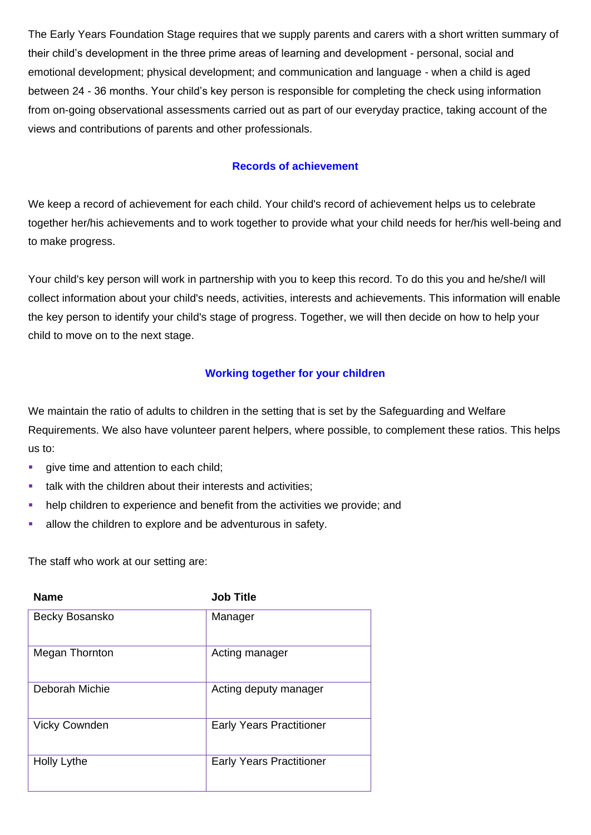The Early Years Foundation Stage requires that we supply parents and carers with a short written summary of their child's development in the three prime areas of learning and development - personal, social and emotional development; physical development; and communication and language - when a child is aged between 24 - 36 months. Your child's key person is responsible for completing the check using information from on-going observational assessments carried out as part of our everyday practice, taking account of the views and contributions of parents and other professionals.

## **Records of achievement**

We keep a record of achievement for each child. Your child's record of achievement helps us to celebrate together her/his achievements and to work together to provide what your child needs for her/his well-being and to make progress.

Your child's key person will work in partnership with you to keep this record. To do this you and he/she/I will collect information about your child's needs, activities, interests and achievements. This information will enable the key person to identify your child's stage of progress. Together, we will then decide on how to help your child to move on to the next stage.

## **Working together for your children**

We maintain the ratio of adults to children in the setting that is set by the Safeguarding and Welfare Requirements. We also have volunteer parent helpers, where possible, to complement these ratios. This helps us to:

- **•** give time and attention to each child;
- talk with the children about their interests and activities;
- help children to experience and benefit from the activities we provide; and
- **EXECUTE:** allow the children to explore and be adventurous in safety.

The staff who work at our setting are:

| <b>Name</b>          | <b>Job Title</b>                |
|----------------------|---------------------------------|
| Becky Bosansko       | Manager                         |
| Megan Thornton       | Acting manager                  |
| Deborah Michie       | Acting deputy manager           |
| <b>Vicky Cownden</b> | <b>Early Years Practitioner</b> |
| Holly Lythe          | <b>Early Years Practitioner</b> |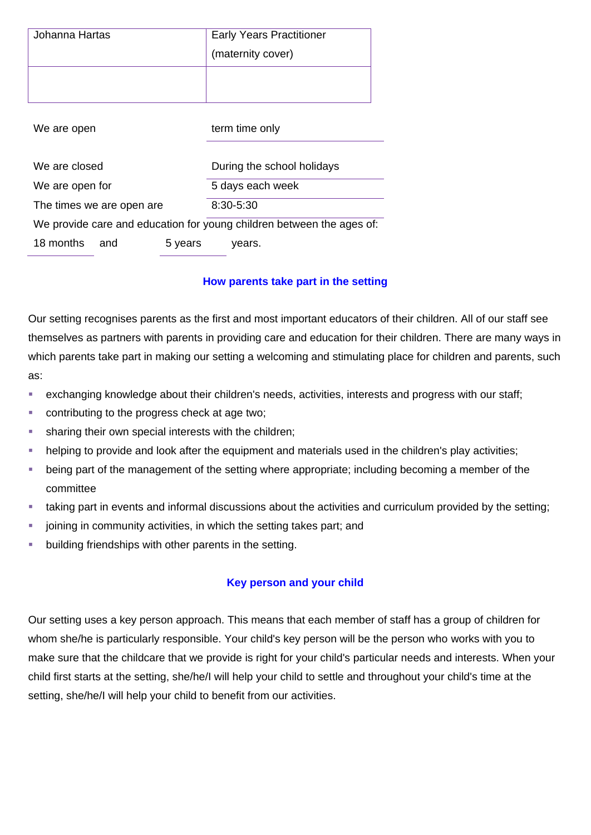| Johanna Hartas                                                        |         | <b>Early Years Practitioner</b> |
|-----------------------------------------------------------------------|---------|---------------------------------|
|                                                                       |         | (maternity cover)               |
|                                                                       |         |                                 |
|                                                                       |         |                                 |
|                                                                       |         |                                 |
| We are open                                                           |         | term time only                  |
|                                                                       |         |                                 |
| We are closed                                                         |         | During the school holidays      |
| We are open for                                                       |         | 5 days each week                |
| The times we are open are                                             |         | $8:30 - 5:30$                   |
| We provide care and education for young children between the ages of: |         |                                 |
| 18 months<br>and                                                      | 5 years | years.                          |

## **How parents take part in the setting**

Our setting recognises parents as the first and most important educators of their children. All of our staff see themselves as partners with parents in providing care and education for their children. There are many ways in which parents take part in making our setting a welcoming and stimulating place for children and parents, such as:

- exchanging knowledge about their children's needs, activities, interests and progress with our staff;
- contributing to the progress check at age two;
- sharing their own special interests with the children;
- **EXED** helping to provide and look after the equipment and materials used in the children's play activities;
- being part of the management of the setting where appropriate; including becoming a member of the committee
- taking part in events and informal discussions about the activities and curriculum provided by the setting;
- joining in community activities, in which the setting takes part; and
- **EXEDENT** building friendships with other parents in the setting.

#### **Key person and your child**

Our setting uses a key person approach. This means that each member of staff has a group of children for whom she/he is particularly responsible. Your child's key person will be the person who works with you to make sure that the childcare that we provide is right for your child's particular needs and interests. When your child first starts at the setting, she/he/I will help your child to settle and throughout your child's time at the setting, she/he/I will help your child to benefit from our activities.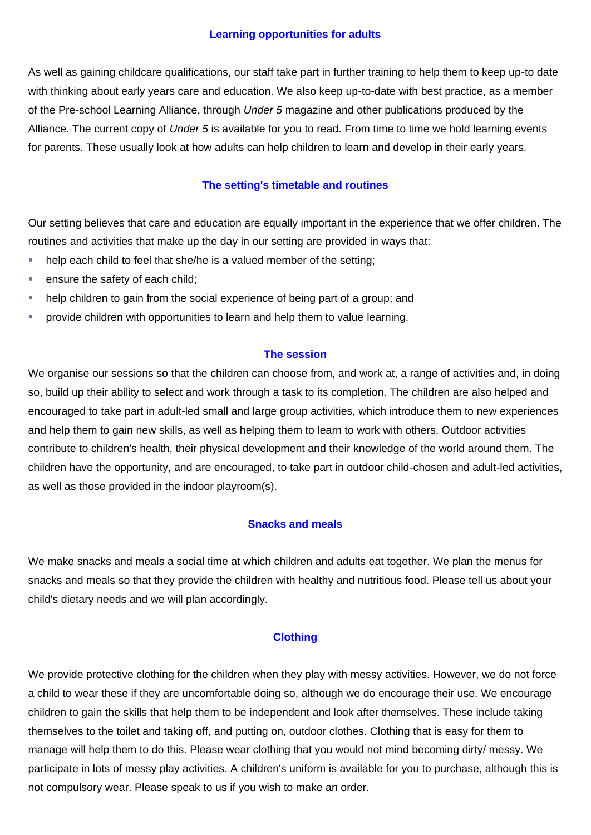#### **Learning opportunities for adults**

As well as gaining childcare qualifications, our staff take part in further training to help them to keep up-to date with thinking about early years care and education. We also keep up-to-date with best practice, as a member of the Pre-school Learning Alliance, through *Under 5* magazine and other publications produced by the Alliance. The current copy of *Under 5* is available for you to read. From time to time we hold learning events for parents. These usually look at how adults can help children to learn and develop in their early years.

#### **The setting's timetable and routines**

Our setting believes that care and education are equally important in the experience that we offer children. The routines and activities that make up the day in our setting are provided in ways that:

- help each child to feel that she/he is a valued member of the setting;
- **ensure the safety of each child;**
- help children to gain from the social experience of being part of a group; and
- **•** provide children with opportunities to learn and help them to value learning.

#### **The session**

We organise our sessions so that the children can choose from, and work at, a range of activities and, in doing so, build up their ability to select and work through a task to its completion. The children are also helped and encouraged to take part in adult-led small and large group activities, which introduce them to new experiences and help them to gain new skills, as well as helping them to learn to work with others. Outdoor activities contribute to children's health, their physical development and their knowledge of the world around them. The children have the opportunity, and are encouraged, to take part in outdoor child-chosen and adult-led activities, as well as those provided in the indoor playroom(s).

#### **Snacks and meals**

We make snacks and meals a social time at which children and adults eat together. We plan the menus for snacks and meals so that they provide the children with healthy and nutritious food. Please tell us about your child's dietary needs and we will plan accordingly.

#### **Clothing**

We provide protective clothing for the children when they play with messy activities. However, we do not force a child to wear these if they are uncomfortable doing so, although we do encourage their use. We encourage children to gain the skills that help them to be independent and look after themselves. These include taking themselves to the toilet and taking off, and putting on, outdoor clothes. Clothing that is easy for them to manage will help them to do this. Please wear clothing that you would not mind becoming dirty/ messy. We participate in lots of messy play activities. A children's uniform is available for you to purchase, although this is not compulsory wear. Please speak to us if you wish to make an order.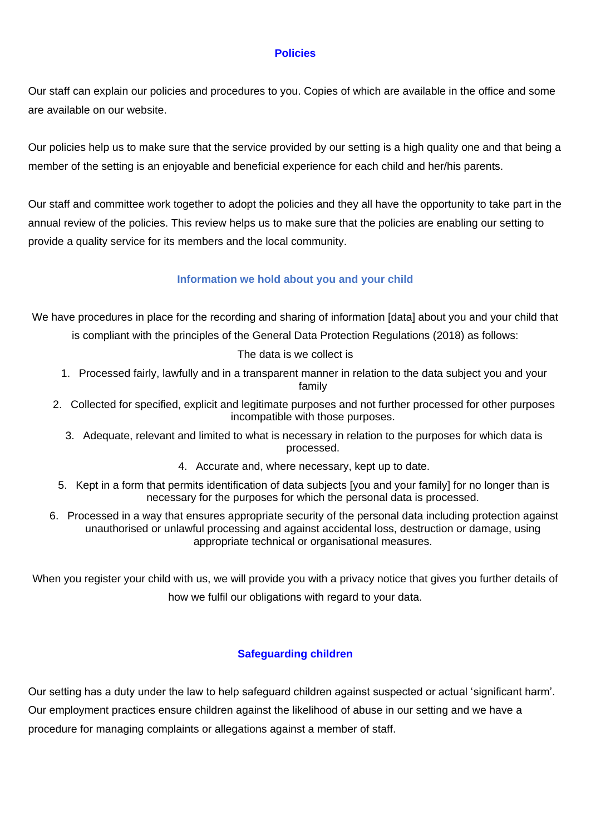#### **Policies**

Our staff can explain our policies and procedures to you. Copies of which are available in the office and some are available on our website.

Our policies help us to make sure that the service provided by our setting is a high quality one and that being a member of the setting is an enjoyable and beneficial experience for each child and her/his parents.

Our staff and committee work together to adopt the policies and they all have the opportunity to take part in the annual review of the policies. This review helps us to make sure that the policies are enabling our setting to provide a quality service for its members and the local community.

## **Information we hold about you and your child**

We have procedures in place for the recording and sharing of information [data] about you and your child that

is compliant with the principles of the General Data Protection Regulations (2018) as follows:

#### The data is we collect is

- 1. Processed fairly, lawfully and in a transparent manner in relation to the data subject you and your family
- 2. Collected for specified, explicit and legitimate purposes and not further processed for other purposes incompatible with those purposes.
	- 3. Adequate, relevant and limited to what is necessary in relation to the purposes for which data is processed.
		- 4. Accurate and, where necessary, kept up to date.
- 5. Kept in a form that permits identification of data subjects [you and your family] for no longer than is necessary for the purposes for which the personal data is processed.
- 6. Processed in a way that ensures appropriate security of the personal data including protection against unauthorised or unlawful processing and against accidental loss, destruction or damage, using appropriate technical or organisational measures.

When you register your child with us, we will provide you with a privacy notice that gives you further details of how we fulfil our obligations with regard to your data.

## **Safeguarding children**

Our setting has a duty under the law to help safeguard children against suspected or actual 'significant harm'. Our employment practices ensure children against the likelihood of abuse in our setting and we have a procedure for managing complaints or allegations against a member of staff.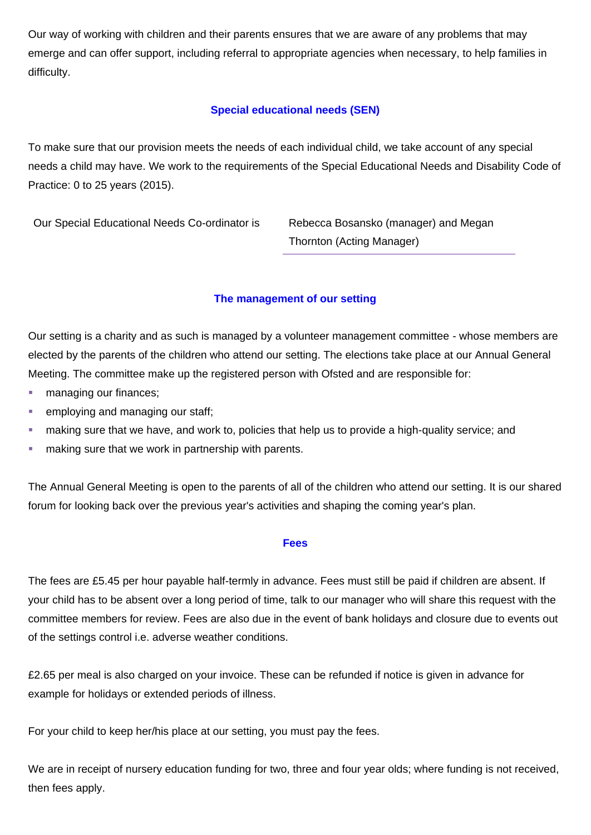Our way of working with children and their parents ensures that we are aware of any problems that may emerge and can offer support, including referral to appropriate agencies when necessary, to help families in difficulty.

# **Special educational needs (SEN)**

To make sure that our provision meets the needs of each individual child, we take account of any special needs a child may have. We work to the requirements of the Special Educational Needs and Disability Code of Practice: 0 to 25 years (2015).

Our Special Educational Needs Co-ordinator is Rebecca Bosansko (manager) and Megan

Thornton (Acting Manager)

# **The management of our setting**

Our setting is a charity and as such is managed by a volunteer management committee - whose members are elected by the parents of the children who attend our setting. The elections take place at our Annual General Meeting. The committee make up the registered person with Ofsted and are responsible for:

- managing our finances;
- **employing and managing our staff;**
- **E** making sure that we have, and work to, policies that help us to provide a high-quality service; and
- making sure that we work in partnership with parents.

The Annual General Meeting is open to the parents of all of the children who attend our setting. It is our shared forum for looking back over the previous year's activities and shaping the coming year's plan.

#### **Fees**

The fees are £5.45 per hour payable half-termly in advance. Fees must still be paid if children are absent. If your child has to be absent over a long period of time, talk to our manager who will share this request with the committee members for review. Fees are also due in the event of bank holidays and closure due to events out of the settings control i.e. adverse weather conditions.

£2.65 per meal is also charged on your invoice. These can be refunded if notice is given in advance for example for holidays or extended periods of illness.

For your child to keep her/his place at our setting, you must pay the fees.

We are in receipt of nursery education funding for two, three and four year olds; where funding is not received, then fees apply.